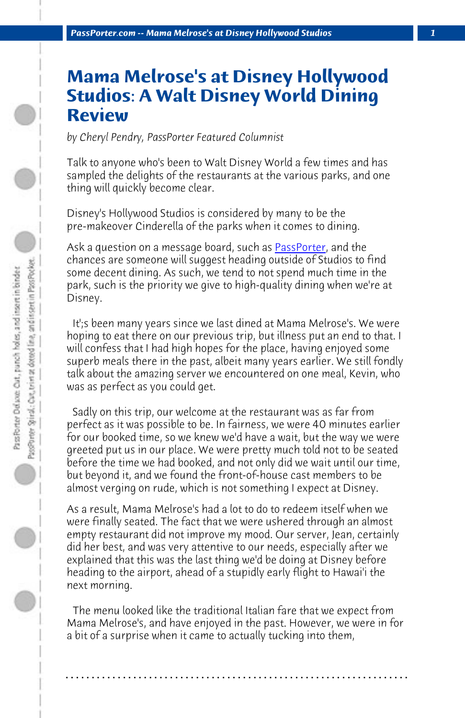*PassPorter.com -- Mama Melrose's at Disney Holl[ywood Studio](http://www.passporterboards.com)s 1*

## **Mama Melrose's at Disney Hollywood Studios: A Walt Disney World Dining Review**

*by Cheryl Pendry, PassPorter Featured Columnist*

Talk to anyone who's been to Walt Disney World a few times and has sampled the delights of the restaurants at the various parks, and one thing will quickly become clear.

Disney's Hollywood Studios is considered by many to be the pre-makeover Cinderella of the parks when it comes to dining.

Ask a question on a message board, such as **PassPorter**, and the chances are someone will suggest heading outside of Studios to find some decent dining. As such, we tend to not spend much time in the park, such is the priority we give to high-quality dining when we're at Disney.

 It';s been many years since we last dined at Mama Melrose's. We were hoping to eat there on our previous trip, but illness put an end to that. I will confess that I had high hopes for the place, having enjoyed some superb meals there in the past, albeit many years earlier. We still fondly talk about the amazing server we encountered on one meal, Kevin, who was as perfect as you could get.

 Sadly on this trip, our welcome at the restaurant was as far from perfect as it was possible to be. In fairness, we were 40 minutes earlier for our booked time, so we knew we'd have a wait, but the way we were greeted put us in our place. We were pretty much told not to be seated before the time we had booked, and not only did we wait until our time, but beyond it, and we found the front-of-house cast members to be almost verging on rude, which is not something I expect at Disney.

As a result, Mama Melrose's had a lot to do to redeem itself when we were finally seated. The fact that we were ushered through an almost empty restaurant did not improve my mood. Our server, Jean, certainly did her best, and was very attentive to our needs, especially after we explained that this was the last thing we'd be doing at Disney before heading to the airport, ahead of a stupidly early flight to Hawai'i the next morning.

 The menu looked like the traditional Italian fare that we expect from Mama Melrose's, and have enjoyed in the past. However, we were in for a bit of a surprise when it came to actually tucking into them,

**. . . . . . . . . . . . . . . . . . . . . . . . . . . . . . . . . . . . . . . . . . . . . . . . . . . . . . . . . . . . . . . . . .**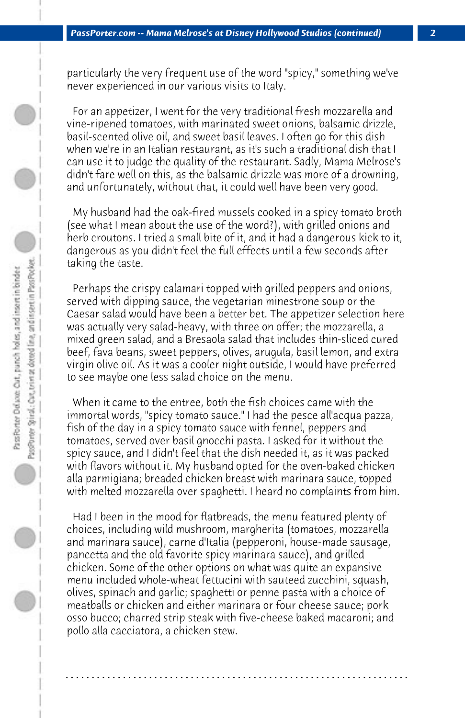particularly the very frequent use of the word "spicy," something we've never experienced in our various visits to Italy.

 For an appetizer, I went for the very traditional fresh mozzarella and vine-ripened tomatoes, with marinated sweet onions, balsamic drizzle, basil-scented olive oil, and sweet basil leaves. I often go for this dish when we're in an Italian restaurant, as it's such a traditional dish that I can use it to judge the quality of the restaurant. Sadly, Mama Melrose's didn't fare well on this, as the balsamic drizzle was more of a drowning, and unfortunately, without that, it could well have been very good.

 My husband had the oak-fired mussels cooked in a spicy tomato broth (see what I mean about the use of the word?), with grilled onions and herb croutons. I tried a small bite of it, and it had a dangerous kick to it, dangerous as you didn't feel the full effects until a few seconds after taking the taste.

 Perhaps the crispy calamari topped with grilled peppers and onions, served with dipping sauce, the vegetarian minestrone soup or the Caesar salad would have been a better bet. The appetizer selection here was actually very salad-heavy, with three on offer; the mozzarella, a mixed green salad, and a Bresaola salad that includes thin-sliced cured beef, fava beans, sweet peppers, olives, arugula, basil lemon, and extra virgin olive oil. As it was a cooler night outside, I would have preferred to see maybe one less salad choice on the menu.

 When it came to the entree, both the fish choices came with the immortal words, "spicy tomato sauce." I had the pesce all'acqua pazza, fish of the day in a spicy tomato sauce with fennel, peppers and tomatoes, served over basil gnocchi pasta. I asked for it without the spicy sauce, and I didn't feel that the dish needed it, as it was packed with flavors without it. My husband opted for the oven-baked chicken alla parmigiana; breaded chicken breast with marinara sauce, topped with melted mozzarella over spaghetti. I heard no complaints from him.

 Had I been in the mood for flatbreads, the menu featured plenty of choices, including wild mushroom, margherita (tomatoes, mozzarella and marinara sauce), carne d'Italia (pepperoni, house-made sausage, pancetta and the old favorite spicy marinara sauce), and grilled chicken. Some of the other options on what was quite an expansive menu included whole-wheat fettucini with sauteed zucchini, squash, olives, spinach and garlic; spaghetti or penne pasta with a choice of meatballs or chicken and either marinara or four cheese sauce; pork osso bucco; charred strip steak with five-cheese baked macaroni; and pollo alla cacciatora, a chicken stew.

**. . . . . . . . . . . . . . . . . . . . . . . . . . . . . . . . . . . . . . . . . . . . . . . . . . . . . . . . . . . . . . . . . .**